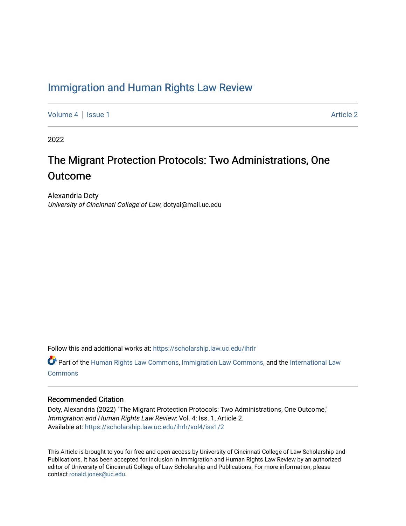# [Immigration and Human Rights Law Review](https://scholarship.law.uc.edu/ihrlr)

[Volume 4](https://scholarship.law.uc.edu/ihrlr/vol4) | [Issue 1](https://scholarship.law.uc.edu/ihrlr/vol4/iss1) Article 2

2022

# The Migrant Protection Protocols: Two Administrations, One **Outcome**

Alexandria Doty University of Cincinnati College of Law, dotyai@mail.uc.edu

Follow this and additional works at: [https://scholarship.law.uc.edu/ihrlr](https://scholarship.law.uc.edu/ihrlr?utm_source=scholarship.law.uc.edu%2Fihrlr%2Fvol4%2Fiss1%2F2&utm_medium=PDF&utm_campaign=PDFCoverPages) 

 $\bullet$  Part of the [Human Rights Law Commons,](http://network.bepress.com/hgg/discipline/847?utm_source=scholarship.law.uc.edu%2Fihrlr%2Fvol4%2Fiss1%2F2&utm_medium=PDF&utm_campaign=PDFCoverPages) [Immigration Law Commons](http://network.bepress.com/hgg/discipline/604?utm_source=scholarship.law.uc.edu%2Fihrlr%2Fvol4%2Fiss1%2F2&utm_medium=PDF&utm_campaign=PDFCoverPages), and the International Law **[Commons](http://network.bepress.com/hgg/discipline/609?utm_source=scholarship.law.uc.edu%2Fihrlr%2Fvol4%2Fiss1%2F2&utm_medium=PDF&utm_campaign=PDFCoverPages)** 

#### Recommended Citation

Doty, Alexandria (2022) "The Migrant Protection Protocols: Two Administrations, One Outcome," Immigration and Human Rights Law Review: Vol. 4: Iss. 1, Article 2. Available at: [https://scholarship.law.uc.edu/ihrlr/vol4/iss1/2](https://scholarship.law.uc.edu/ihrlr/vol4/iss1/2?utm_source=scholarship.law.uc.edu%2Fihrlr%2Fvol4%2Fiss1%2F2&utm_medium=PDF&utm_campaign=PDFCoverPages)

This Article is brought to you for free and open access by University of Cincinnati College of Law Scholarship and Publications. It has been accepted for inclusion in Immigration and Human Rights Law Review by an authorized editor of University of Cincinnati College of Law Scholarship and Publications. For more information, please contact [ronald.jones@uc.edu.](mailto:ronald.jones@uc.edu)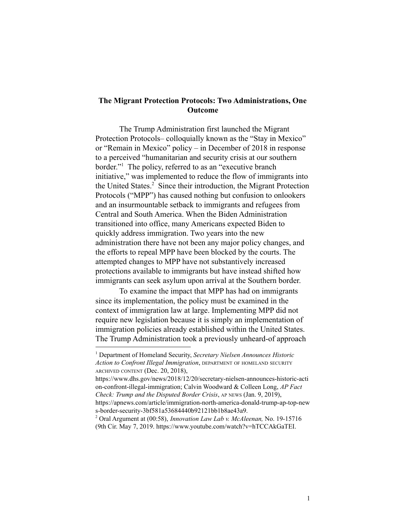# **The Migrant Protection Protocols: Two Administrations, One Outcome**

The Trump Administration first launched the Migrant Protection Protocols– colloquially known as the "Stay in Mexico" or "Remain in Mexico" policy – in December of 2018 in response to a perceived "humanitarian and security crisis at our southern border."<sup>1</sup> The policy, referred to as an "executive branch" initiative," was implemented to reduce the flow of immigrants into the United States. $<sup>2</sup>$  Since their introduction, the Migrant Protection</sup> Protocols ("MPP") has caused nothing but confusion to onlookers and an insurmountable setback to immigrants and refugees from Central and South America. When the Biden Administration transitioned into office, many Americans expected Biden to quickly address immigration. Two years into the new administration there have not been any major policy changes, and the efforts to repeal MPP have been blocked by the courts. The attempted changes to MPP have not substantively increased protections available to immigrants but have instead shifted how immigrants can seek asylum upon arrival at the Southern border.

To examine the impact that MPP has had on immigrants since its implementation, the policy must be examined in the context of immigration law at large. Implementing MPP did not require new legislation because it is simply an implementation of immigration policies already established within the United States. The Trump Administration took a previously unheard-of approach

<sup>1</sup> Department of Homeland Security, *Secretary Nielsen Announces Historic Action to Confront Illegal Immigration*, DEPARTMENT OF HOMELAND SECURITY ARCHIVED CONTENT (Dec. 20, 2018),

https://www.dhs.gov/news/2018/12/20/secretary-nielsen-announces-historic-acti on-confront-illegal-immigration; Calvin Woodward & Colleen Long, *AP Fact Check: Trump and the Disputed Border Crisis*, AP NEWS (Jan. 9, 2019), https://apnews.com/article/immigration-north-america-donald-trump-ap-top-new s-border-security-3bf581a53684440b92121bb1b8ae43a9.

<sup>2</sup> Oral Argument at (00:58), *Innovation Law Lab v. McAleenan,* No. 19-15716 (9th Cir. May 7, 2019. https://www.youtube.com/watch?v=hTCCAkGaTEI.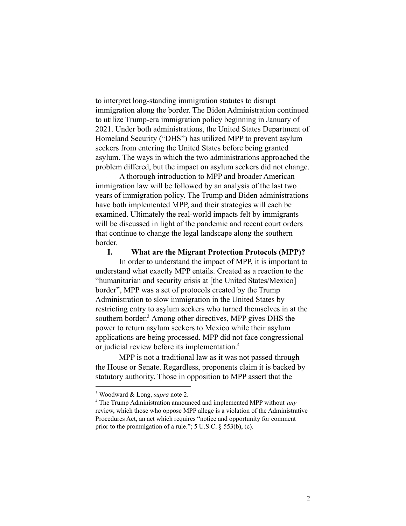to interpret long-standing immigration statutes to disrupt immigration along the border. The Biden Administration continued to utilize Trump-era immigration policy beginning in January of 2021. Under both administrations, the United States Department of Homeland Security ("DHS") has utilized MPP to prevent asylum seekers from entering the United States before being granted asylum. The ways in which the two administrations approached the problem differed, but the impact on asylum seekers did not change.

A thorough introduction to MPP and broader American immigration law will be followed by an analysis of the last two years of immigration policy. The Trump and Biden administrations have both implemented MPP, and their strategies will each be examined. Ultimately the real-world impacts felt by immigrants will be discussed in light of the pandemic and recent court orders that continue to change the legal landscape along the southern **border** 

#### **I. What are the Migrant Protection Protocols (MPP)?**

In order to understand the impact of MPP, it is important to understand what exactly MPP entails. Created as a reaction to the "humanitarian and security crisis at [the United States/Mexico] border", MPP was a set of protocols created by the Trump Administration to slow immigration in the United States by restricting entry to asylum seekers who turned themselves in at the southern border.<sup>3</sup> Among other directives, MPP gives DHS the power to return asylum seekers to Mexico while their asylum applications are being processed. MPP did not face congressional or judicial review before its implementation.<sup>4</sup>

MPP is not a traditional law as it was not passed through the House or Senate. Regardless, proponents claim it is backed by statutory authority. Those in opposition to MPP assert that the

<sup>3</sup> Woodward & Long, *supra* note 2.

<sup>4</sup> The Trump Administration announced and implemented MPP without *any* review, which those who oppose MPP allege is a violation of the Administrative Procedures Act, an act which requires "notice and opportunity for comment prior to the promulgation of a rule."; 5 U.S.C. § 553(b), (c).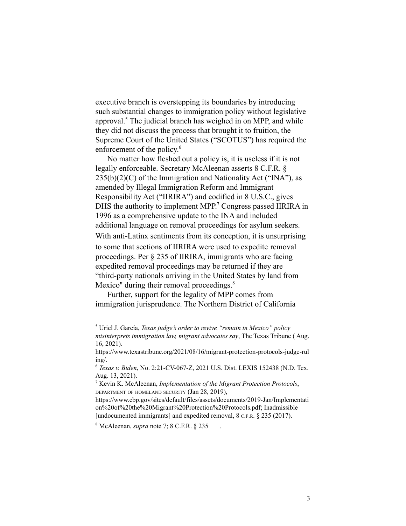executive branch is overstepping its boundaries by introducing such substantial changes to immigration policy without legislative approval. $<sup>5</sup>$  The judicial branch has weighed in on MPP, and while</sup> they did not discuss the process that brought it to fruition, the Supreme Court of the United States ("SCOTUS") has required the enforcement of the policy. 6

No matter how fleshed out a policy is, it is useless if it is not legally enforceable. Secretary McAleenan asserts 8 C.F.R. §  $235(b)(2)(C)$  of the Immigration and Nationality Act ("INA"), as amended by Illegal Immigration Reform and Immigrant Responsibility Act ("IIRIRA") and codified in 8 U.S.C., gives DHS the authority to implement MPP.<sup>7</sup> Congress passed IIRIRA in 1996 as a comprehensive update to the INA and included additional language on removal proceedings for asylum seekers. With anti-Latinx sentiments from its conception, it is unsurprising to some that sections of IIRIRA were used to expedite removal proceedings. Per § 235 of IIRIRA, immigrants who are facing expedited removal proceedings may be returned if they are "third-party nationals arriving in the United States by land from Mexico" during their removal proceedings.<sup>8</sup>

Further, support for the legality of MPP comes from immigration jurisprudence. The Northern District of California

<sup>5</sup> Uriel J. García, *Texas judge's order to revive "remain in Mexico" policy misinterprets immigration law, migrant advocates say*, The Texas Tribune ( Aug. 16, 2021).

https://www.texastribune.org/2021/08/16/migrant-protection-protocols-judge-rul ing/.

<sup>6</sup> *Texas v. Biden*, No. 2:21-CV-067-Z, 2021 U.S. Dist. LEXIS 152438 (N.D. Tex. Aug. 13, 2021).

<sup>7</sup> Kevin K. McAleenan, *Implementation of the Migrant Protection Protocols*, DEPARTMENT OF HOMELAND SECURITY (Jan 28, 2019),

https://www.cbp.gov/sites/default/files/assets/documents/2019-Jan/Implementati on%20of%20the%20Migrant%20Protection%20Protocols.pdf; Inadmissible [undocumented immigrants] and expedited removal, 8 C.F.R. § 235 (2017).

<sup>8</sup> McAleenan, *supra* note 7; 8 C.F.R. § 235 .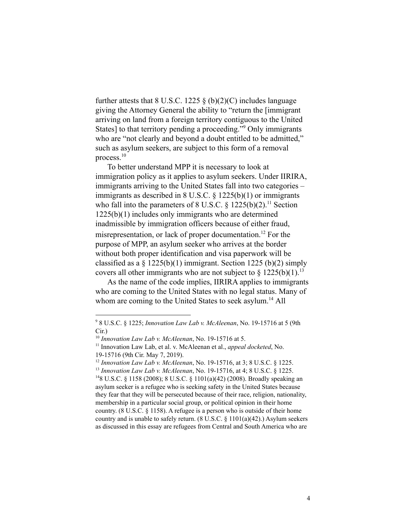further attests that  $8 \text{ U.S.C. } 1225 \text{ \& } (b)(2)(C)$  includes language giving the Attorney General the ability to "return the [immigrant arriving on land from a foreign territory contiguous to the United States] to that territory pending a proceeding."<sup>9</sup> Only immigrants who are "not clearly and beyond a doubt entitled to be admitted," such as asylum seekers, are subject to this form of a removal process.<sup>10</sup>

To better understand MPP it is necessary to look at immigration policy as it applies to asylum seekers. Under IIRIRA, immigrants arriving to the United States fall into two categories – immigrants as described in 8 U.S.C. § 1225(b)(1) or immigrants who fall into the parameters of 8 U.S.C.  $\S$  1225(b)(2).<sup>11</sup> Section 1225(b)(1) includes only immigrants who are determined inadmissible by immigration officers because of either fraud, misrepresentation, or lack of proper documentation.<sup>12</sup> For the purpose of MPP, an asylum seeker who arrives at the border without both proper identification and visa paperwork will be classified as a  $\S$  1225(b)(1) immigrant. Section 1225 (b)(2) simply covers all other immigrants who are not subject to  $\S 1225(b)(1)$ .<sup>13</sup>

As the name of the code implies, IIRIRA applies to immigrants who are coming to the United States with no legal status. Many of whom are coming to the United States to seek asylum.<sup>14</sup> All

<sup>9</sup> 8 U.S.C. § 1225; *Innovation Law Lab v. McAleenan*, No. 19-15716 at 5 (9th Cir.)

<sup>10</sup> *Innovation Law Lab v. McAleenan*, No. 19-15716 at 5.

<sup>&</sup>lt;sup>11</sup> Innovation Law Lab, et al. v. McAleenan et al., *appeal docketed*, No. 19-15716 (9th Cir. May 7, 2019).

<sup>13</sup> *Innovation Law Lab v. McAleenan*, No. 19-15716, at 4; 8 U.S.C. § 1225. <sup>12</sup> *Innovation Law Lab v. McAleenan*, No. 19-15716, at 3; 8 U.S.C. § 1225.

<sup>&</sup>lt;sup>14</sup>8 U.S.C. § 1158 (2008); 8 U.S.C. § 1101(a)(42) (2008). Broadly speaking an asylum seeker is a refugee who is seeking safety in the United States because they fear that they will be persecuted because of their race, religion, nationality, membership in a particular social group, or political opinion in their home country. (8 U.S.C. § 1158). A refugee is a person who is outside of their home country and is unable to safely return.  $(8 \text{ U.S.C. } \S 1101(a)(42))$ . Asylum seekers as discussed in this essay are refugees from Central and South America who are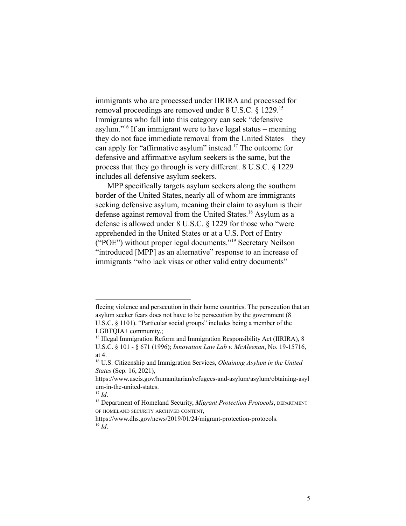immigrants who are processed under IIRIRA and processed for removal proceedings are removed under 8 U.S.C. § 1229.<sup>15</sup> Immigrants who fall into this category can seek "defensive asylum."<sup>16</sup> If an immigrant were to have legal status – meaning they do not face immediate removal from the United States – they can apply for "affirmative asylum" instead.<sup>17</sup> The outcome for defensive and affirmative asylum seekers is the same, but the process that they go through is very different. 8 U.S.C. § 1229 includes all defensive asylum seekers.

MPP specifically targets asylum seekers along the southern border of the United States, nearly all of whom are immigrants seeking defensive asylum, meaning their claim to asylum is their defense against removal from the United States.<sup>18</sup> Asylum as a defense is allowed under 8 U.S.C. § 1229 for those who "were apprehended in the United States or at a U.S. Port of Entry ("POE") without proper legal documents."<sup>19</sup> Secretary Neilson "introduced [MPP] as an alternative" response to an increase of immigrants "who lack visas or other valid entry documents"

fleeing violence and persecution in their home countries. The persecution that an asylum seeker fears does not have to be persecution by the government (8 U.S.C. § 1101). "Particular social groups" includes being a member of the LGBTQIA+ community.;

<sup>&</sup>lt;sup>15</sup> Illegal Immigration Reform and Immigration Responsibility Act (IIRIRA), 8 U.S.C. § 101 - § 671 (1996); *Innovation Law Lab v. McAleenan*, No. 19-15716, at 4.

<sup>16</sup> U.S. Citizenship and Immigration Services, *Obtaining Asylum in the United States* (Sep. 16, 2021),

https://www.uscis.gov/humanitarian/refugees-and-asylum/asylum/obtaining-asyl um-in-the-united-states.

 $^{17}$  *Id.* 

<sup>18</sup> Department of Homeland Security, *Migrant Protection Protocols*, DEPARTMENT OF HOMELAND SECURITY ARCHIVED CONTENT,

 $^{19}$  *Id.* https://www.dhs.gov/news/2019/01/24/migrant-protection-protocols.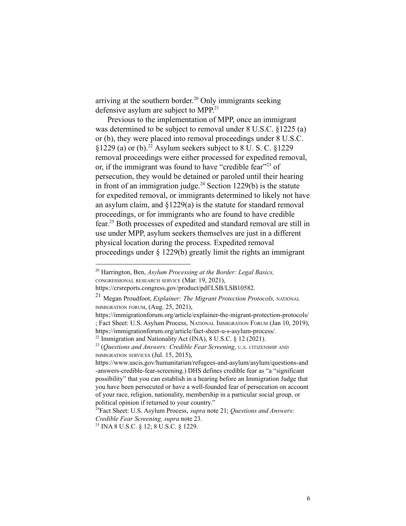arriving at the southern border.<sup>20</sup> Only immigrants seeking defensive asylum are subject to MPP.<sup>21</sup>

Previous to the implementation of MPP, once an immigrant was determined to be subject to removal under 8 U.S.C. §1225 (a) or (b), they were placed into removal proceedings under 8 U.S.C.  $\frac{1229}{(a)}$  or (b).<sup>22</sup> Asylum seekers subject to 8 U.S.C.  $\frac{1229}{(b)}$ removal proceedings were either processed for expedited removal, or, if the immigrant was found to have "credible fear"<sup>23</sup> of persecution, they would be detained or paroled until their hearing in front of an immigration judge.<sup>24</sup> Section 1229(b) is the statute for expedited removal, or immigrants determined to likely not have an asylum claim, and §1229(a) is the statute for standard removal proceedings, or for immigrants who are found to have credible fear.<sup>25</sup> Both processes of expedited and standard removal are still in use under MPP, asylum seekers themselves are just in a different physical location during the process. Expedited removal proceedings under § 1229(b) greatly limit the rights an immigrant

<sup>20</sup> Harrington, Ben, *Asylum Processing at the Border: Legal Basics,* CONGRESSIONAL RESEARCH SERVICE (Mar. 19, 2021),

https://crsreports.congress.gov/product/pdf/LSB/LSB10582.

<sup>21</sup> Megan Proudfoot, *Explainer: The Migrant Protection Protocols,* NATIONAL IMMIGRATION FORUM, (Aug. 25, 2021),

https://immigrationforum.org/article/explainer-the-migrant-protection-protocols/ ; Fact Sheet: U.S. Asylum Process, NATIONAL IMMIGRATION FORUM (Jan 10, 2019), https://immigrationforum.org/article/fact-sheet-u-s-asylum-process/.

<sup>&</sup>lt;sup>22</sup> Immigration and Nationality Act (INA), 8 U.S.C. § 12 (2021).

<sup>23</sup> (*Questions and Answers: Credible Fear Screening,* <sup>U</sup>.S. CITIZENSHIP AND IMMIGRATION SERVICES (Jul. 15, 2015),

https://www.uscis.gov/humanitarian/refugees-and-asylum/asylum/questions-and -answers-credible-fear-screening.) DHS defines credible fear as "a "significant possibility" that you can establish in a hearing before an Immigration Judge that you have been persecuted or have a well-founded fear of persecution on account of your race, religion, nationality, membership in a particular social group, or political opinion if returned to your country."

<sup>24</sup>Fact Sheet: U.S. Asylum Process, *supra* note 21; *Questions and Answers: Credible Fear Screening, supra* note 23.

<sup>25</sup> INA 8 U.S.C. § 12; 8 U.S.C. § 1229.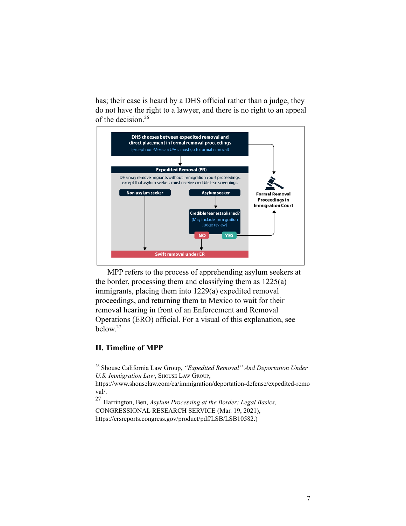has; their case is heard by a DHS official rather than a judge, they do not have the right to a lawyer, and there is no right to an appeal of the decision.<sup>26</sup>



MPP refers to the process of apprehending asylum seekers at the border, processing them and classifying them as 1225(a) immigrants, placing them into 1229(a) expedited removal proceedings, and returning them to Mexico to wait for their removal hearing in front of an Enforcement and Removal Operations (ERO) official. For a visual of this explanation, see below. 27

# **II. Timeline of MPP**

<sup>26</sup> Shouse California Law Group, *"Expedited Removal" And Deportation Under U.S. Immigration Law*, SHOUSE LAW GROUP,

https://www.shouselaw.com/ca/immigration/deportation-defense/expedited-remo val/.

<sup>27</sup> Harrington, Ben, *Asylum Processing at the Border: Legal Basics,* CONGRESSIONAL RESEARCH SERVICE (Mar. 19, 2021), https://crsreports.congress.gov/product/pdf/LSB/LSB10582.)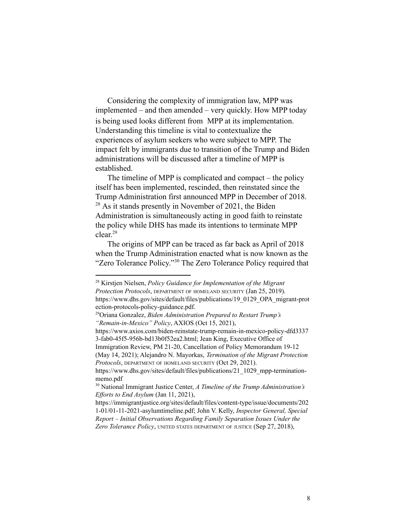Considering the complexity of immigration law, MPP was implemented – and then amended – very quickly. How MPP today is being used looks different from MPP at its implementation. Understanding this timeline is vital to contextualize the experiences of asylum seekers who were subject to MPP. The impact felt by immigrants due to transition of the Trump and Biden administrations will be discussed after a timeline of MPP is established.

The timeline of MPP is complicated and compact – the policy itself has been implemented, rescinded, then reinstated since the Trump Administration first announced MPP in December of 2018.  $28$  As it stands presently in November of 2021, the Biden Administration is simultaneously acting in good faith to reinstate the policy while DHS has made its intentions to terminate MPP clear. 29

The origins of MPP can be traced as far back as April of 2018 when the Trump Administration enacted what is now known as the "Zero Tolerance Policy."<sup>30</sup> The Zero Tolerance Policy required that

Immigration Review, PM 21-20, Cancellation of Policy Memorandum 19-12 (May 14, 2021); Alejandro N. Mayorkas, *Termination of the Migrant Protection Protocols*, DEPARTMENT OF HOMELAND SECURITY (Oct 29, 2021).

<sup>28</sup> Kirstjen Nielsen, *Policy Guidance for Implementation of the Migrant Protection Protocols*, DEPARTMENT OF HOMELAND SECURITY (Jan 25, 2019). https://www.dhs.gov/sites/default/files/publications/19\_0129\_OPA\_migrant-prot ection-protocols-policy-guidance.pdf.

<sup>29</sup>Oriana Gonzalez, *Biden Administration Prepared to Restart Trump's "Remain-in-Mexico" Policy*, AXIOS (Oct 15, 2021),

https://www.axios.com/biden-reinstate-trump-remain-in-mexico-policy-dfd3337 3-fab0-45f5-956b-bd13b0f52ea2.html; Jean King, Executive Office of

https://www.dhs.gov/sites/default/files/publications/21\_1029\_mpp-terminationmemo.pdf

<sup>30</sup> National Immigrant Justice Center, *A Timeline of the Trump Administration's Ef orts to End Asylum* (Jan 11, 2021),

https://immigrantjustice.org/sites/default/files/content-type/issue/documents/202 1-01/01-11-2021-asylumtimeline.pdf; John V. Kelly, *Inspector General, Special Report – Initial Observations Regarding Family Separation Issues Under the Zero Tolerance Policy*, UNITED STATES DEPARTMENT OF JUSTICE (Sep 27, 2018),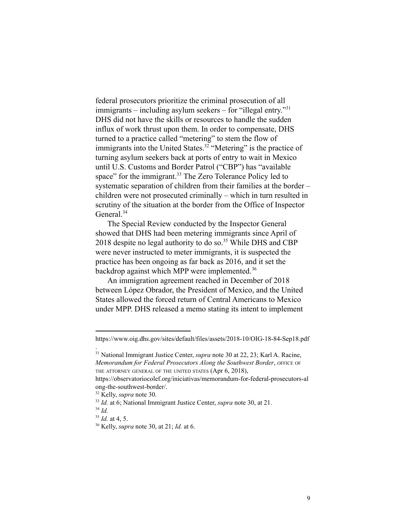federal prosecutors prioritize the criminal prosecution of all immigrants – including asylum seekers – for "illegal entry."<sup>31</sup> DHS did not have the skills or resources to handle the sudden influx of work thrust upon them. In order to compensate, DHS turned to a practice called "metering" to stem the flow of immigrants into the United States.<sup>32</sup> "Metering" is the practice of turning asylum seekers back at ports of entry to wait in Mexico until U.S. Customs and Border Patrol ("CBP") has "available space" for the immigrant.<sup>33</sup> The Zero Tolerance Policy led to systematic separation of children from their families at the border – children were not prosecuted criminally – which in turn resulted in scrutiny of the situation at the border from the Office of Inspector General.<sup>34</sup>

The Special Review conducted by the Inspector General showed that DHS had been metering immigrants since April of 2018 despite no legal authority to do so.<sup>35</sup> While DHS and CBP were never instructed to meter immigrants, it is suspected the practice has been ongoing as far back as 2016, and it set the backdrop against which MPP were implemented.<sup>36</sup>

An immigration agreement reached in December of 2018 between López Obrador, the President of Mexico, and the United States allowed the forced return of Central Americans to Mexico under MPP. DHS released a memo stating its intent to implement

.

https://www.oig.dhs.gov/sites/default/files/assets/2018-10/OIG-18-84-Sep18.pdf

<sup>31</sup> National Immigrant Justice Center, *supra* note 30 at 22, 23; Karl A. Racine, *Memorandum for Federal Prosecutors Along the Southwest Border*, OFFICE OF THE ATTORNEY GENERAL OF THE UNITED STATES (Apr 6, 2018),

https://observatoriocolef.org/iniciativas/memorandum-for-federal-prosecutors-al ong-the-southwest-border/.

<sup>32</sup> Kelly, *supra* note 30.

<sup>33</sup> *Id.* at 6; National Immigrant Justice Center, *supra* note 30, at 21.

<sup>34</sup> *Id.*

<sup>35</sup> *Id.* at 4, 5.

<sup>36</sup> Kelly, *supra* note 30, at 21; *Id.* at 6.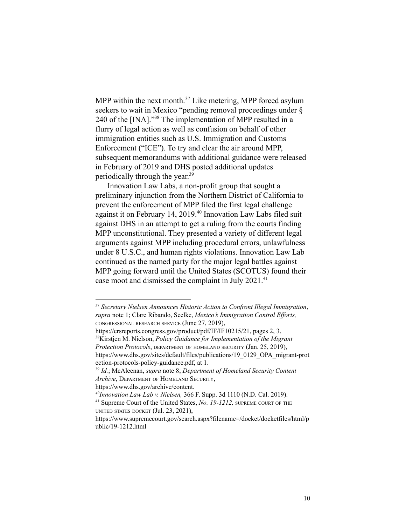MPP within the next month.<sup>37</sup> Like metering, MPP forced asylum seekers to wait in Mexico "pending removal proceedings under § 240 of the  $[INA]$ ."<sup>38</sup> The implementation of MPP resulted in a flurry of legal action as well as confusion on behalf of other immigration entities such as U.S. Immigration and Customs Enforcement ("ICE"). To try and clear the air around MPP, subsequent memorandums with additional guidance were released in February of 2019 and DHS posted additional updates periodically through the year. 39

Innovation Law Labs, a non-profit group that sought a preliminary injunction from the Northern District of California to prevent the enforcement of MPP filed the first legal challenge against it on February 14, 2019.<sup>40</sup> Innovation Law Labs filed suit against DHS in an attempt to get a ruling from the courts finding MPP unconstitutional. They presented a variety of different legal arguments against MPP including procedural errors, unlawfulness under 8 U.S.C., and human rights violations. Innovation Law Lab continued as the named party for the major legal battles against MPP going forward until the United States (SCOTUS) found their case moot and dismissed the complaint in July 2021.<sup>41</sup>

<sup>38</sup>Kirstjen M. Nielson, *Policy Guidance for Implementation of the Migrant Protection Protocols*, DEPARTMENT OF HOMELAND SECURITY (Jan. 25, 2019), https://www.dhs.gov/sites/default/files/publications/19\_0129\_OPA\_migrant-prot ection-protocols-policy-guidance.pdf, at 1. https://crsreports.congress.gov/product/pdf/IF/IF10215/21, pages 2, 3.

*<sup>40</sup>Innovation Law Lab v. Nielsen,* 366 F. Supp. 3d 1110 (N.D. Cal. 2019).

<sup>37</sup> *Secretary Nielsen Announces Historic Action to Confront Illegal Immigration*, *supra* note 1; Clare Ribando, Seelke, *Mexico's Immigration Control Efforts,* CONGRESSIONAL RESEARCH SERVICE (June 27, 2019),

<sup>39</sup> *Id.*; McAleenan, *supra* note 8; *Department of Homeland Security Content Archive*, DEPARTMENT OF HOMELAND SECURITY,

https://www.dhs.gov/archive/content.

<sup>41</sup> Supreme Court of the United States, *No. 19-1212,* SUPREME COURT OF THE UNITED STATES DOCKET (Jul. 23, 2021),

https://www.supremecourt.gov/search.aspx?filename=/docket/docketfiles/html/p ublic/19-1212.html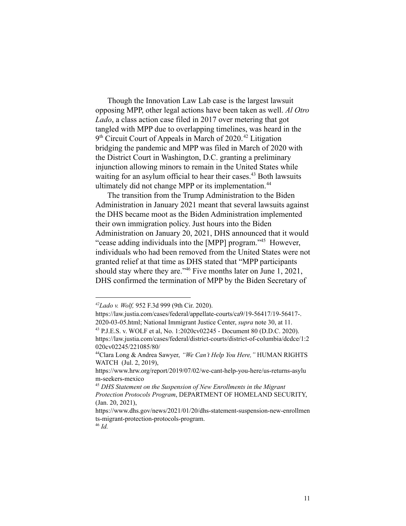Though the Innovation Law Lab case is the largest lawsuit opposing MPP, other legal actions have been taken as well. *Al Otro Lado*, a class action case filed in 2017 over metering that got tangled with MPP due to overlapping timelines, was heard in the 9<sup>th</sup> Circuit Court of Appeals in March of 2020.<sup>42</sup> Litigation bridging the pandemic and MPP was filed in March of 2020 with the District Court in Washington, D.C. granting a preliminary injunction allowing minors to remain in the United States while waiting for an asylum official to hear their cases.<sup>43</sup> Both lawsuits ultimately did not change MPP or its implementation.<sup>44</sup>

The transition from the Trump Administration to the Biden Administration in January 2021 meant that several lawsuits against the DHS became moot as the Biden Administration implemented their own immigration policy. Just hours into the Biden Administration on January 20, 2021, DHS announced that it would "cease adding individuals into the [MPP] program."<sup>45</sup> However, individuals who had been removed from the United States were not granted relief at that time as DHS stated that "MPP participants should stay where they are." <sup>46</sup> Five months later on June 1, 2021, DHS confirmed the termination of MPP by the Biden Secretary of

*<sup>42</sup>Lado v. Wolf,* 952 F.3d 999 (9th Cir. 2020).

https://law.justia.com/cases/federal/appellate-courts/ca9/19-56417/19-56417-. 2020-03-05.html; National Immigrant Justice Center, *supra* note 30, at 11.

<sup>43</sup> P.J.E.S. v. WOLF et al, No. 1:2020cv02245 - Document 80 (D.D.C. 2020).

https://law.justia.com/cases/federal/district-courts/district-of-columbia/dcdce/1:2 020cv02245/221085/80/

<sup>44</sup>Clara Long & Andrea Sawyer, *"We Can't Help You Here,"* HUMAN RIGHTS WATCH (Jul. 2, 2019),

https://www.hrw.org/report/2019/07/02/we-cant-help-you-here/us-returns-asylu m-seekers-mexico

<sup>45</sup> *DHS Statement on the Suspension of New Enrollments in the Migrant Protection Protocols Program*, DEPARTMENT OF HOMELAND SECURITY, (Jan. 20, 2021),

https://www.dhs.gov/news/2021/01/20/dhs-statement-suspension-new-enrollmen ts-migrant-protection-protocols-program.

<sup>46</sup> *Id.*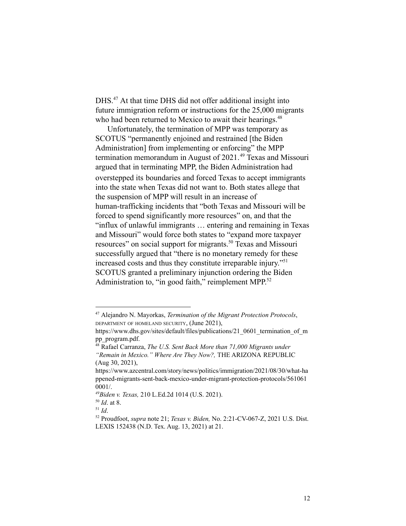DHS.<sup>47</sup> At that time DHS did not offer additional insight into future immigration reform or instructions for the 25,000 migrants who had been returned to Mexico to await their hearings.<sup>48</sup>

Unfortunately, the termination of MPP was temporary as SCOTUS "permanently enjoined and restrained [the Biden Administration] from implementing or enforcing" the MPP termination memorandum in August of  $2021<sup>49</sup>$  Texas and Missouri argued that in terminating MPP, the Biden Administration had overstepped its boundaries and forced Texas to accept immigrants into the state when Texas did not want to. Both states allege that the suspension of MPP will result in an increase of human-trafficking incidents that "both Texas and Missouri will be forced to spend significantly more resources" on, and that the "influx of unlawful immigrants … entering and remaining in Texas and Missouri" would force both states to "expand more taxpayer resources" on social support for migrants.<sup>50</sup> Texas and Missouri successfully argued that "there is no monetary remedy for these increased costs and thus they constitute irreparable injury."<sup>51</sup> SCOTUS granted a preliminary injunction ordering the Biden Administration to, "in good faith," reimplement MPP.<sup>52</sup>

<sup>47</sup> Alejandro N. Mayorkas, *Termination of the Migrant Protection Protocols*, DEPARTMENT OF HOMELAND SECURITY, (June 2021),

https://www.dhs.gov/sites/default/files/publications/21\_0601\_termination\_of\_m pp\_program.pdf.

<sup>48</sup> Rafael Carranza, *The U.S. Sent Back More than 71,000 Migrants under "Remain in Mexico." Where Are They Now?,* THE ARIZONA REPUBLIC (Aug 30, 2021),

https://www.azcentral.com/story/news/politics/immigration/2021/08/30/what-ha ppened-migrants-sent-back-mexico-under-migrant-protection-protocols/561061 0001/.

*<sup>49</sup>Biden v. Texas,* 210 L.Ed.2d 1014 (U.S. 2021).

<sup>50</sup> *Id*. at 8.

<sup>51</sup> *Id*.

<sup>52</sup> Proudfoot, *supra* note 21; *Texas v. Biden,* No. 2:21-CV-067-Z, 2021 U.S. Dist. LEXIS 152438 (N.D. Tex. Aug. 13, 2021) at 21.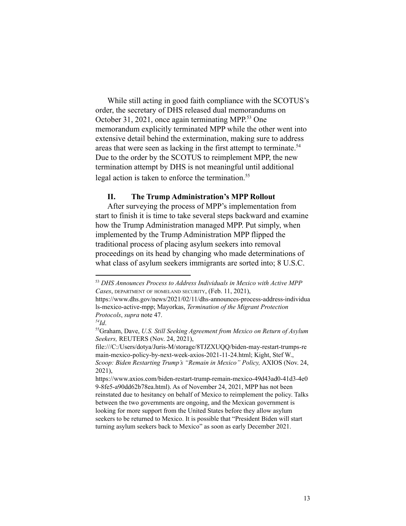While still acting in good faith compliance with the SCOTUS's order, the secretary of DHS released dual memorandums on October 31, 2021, once again terminating MPP. $^{53}$  One memorandum explicitly terminated MPP while the other went into extensive detail behind the extermination, making sure to address areas that were seen as lacking in the first attempt to terminate.<sup>54</sup> Due to the order by the SCOTUS to reimplement MPP, the new termination attempt by DHS is not meaningful until additional legal action is taken to enforce the termination.<sup>55</sup>

#### **II. The Trump Administration's MPP Rollout**

After surveying the process of MPP's implementation from start to finish it is time to take several steps backward and examine how the Trump Administration managed MPP. Put simply, when implemented by the Trump Administration MPP flipped the traditional process of placing asylum seekers into removal proceedings on its head by changing who made determinations of what class of asylum seekers immigrants are sorted into; 8 U.S.C.

<sup>53</sup> *DHS Announces Process to Address Individuals in Mexico with Active MPP Cases*, DEPARTMENT OF HOMELAND SECURITY, (Feb. 11, 2021),

https://www.dhs.gov/news/2021/02/11/dhs-announces-process-address-individua ls-mexico-active-mpp; Mayorkas, *Termination of the Migrant Protection Protocols*, *supra* note 47.

*<sup>54</sup>Id*.

<sup>55</sup>Graham, Dave, *U.S. Still Seeking Agreement from Mexico on Return of Asylum Seekers,* REUTERS (Nov. 24, 2021),

file:///C:/Users/dotya/Juris-M/storage/8TJZXUQQ/biden-may-restart-trumps-re main-mexico-policy-by-next-week-axios-2021-11-24.html; Kight, Stef W., *Scoop: Biden Restarting Trump's "Remain in Mexico" Policy,* AXIOS (Nov. 24, 2021),

https://www.axios.com/biden-restart-trump-remain-mexico-49d43ad0-41d3-4e0 9-8fe5-a90dd62b78ea.html). As of November 24, 2021, MPP has not been reinstated due to hesitancy on behalf of Mexico to reimplement the policy. Talks between the two governments are ongoing, and the Mexican government is looking for more support from the United States before they allow asylum seekers to be returned to Mexico. It is possible that "President Biden will start turning asylum seekers back to Mexico" as soon as early December 2021.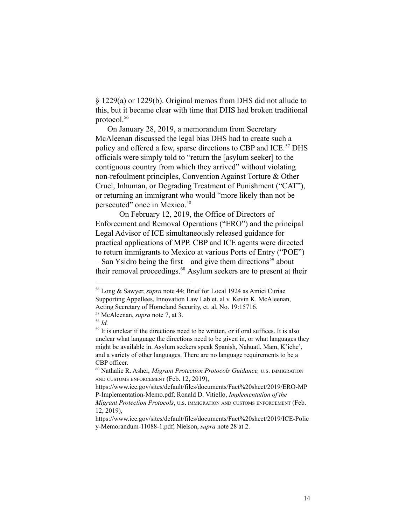§ 1229(a) or 1229(b). Original memos from DHS did not allude to this, but it became clear with time that DHS had broken traditional protocol.<sup>56</sup>

On January 28, 2019, a memorandum from Secretary McAleenan discussed the legal bias DHS had to create such a policy and offered a few, sparse directions to CBP and ICE.<sup>57</sup> DHS officials were simply told to "return the [asylum seeker] to the contiguous country from which they arrived" without violating non-refoulment principles, Convention Against Torture & Other Cruel, Inhuman, or Degrading Treatment of Punishment ("CAT"), or returning an immigrant who would "more likely than not be persecuted" once in Mexico.<sup>58</sup>

On February 12, 2019, the Office of Directors of Enforcement and Removal Operations ("ERO") and the principal Legal Advisor of ICE simultaneously released guidance for practical applications of MPP. CBP and ICE agents were directed to return immigrants to Mexico at various Ports of Entry ("POE") – San Ysidro being the first – and give them directions<sup>59</sup> about their removal proceedings. $60$  Asylum seekers are to present at their

<sup>56</sup> Long & Sawyer, *supra* note 44; Brief for Local 1924 as Amici Curiae Supporting Appellees, Innovation Law Lab et. al v. Kevin K. McAleenan, Acting Secretary of Homeland Security, et. al, No. 19:15716.

<sup>57</sup> McAleenan, *supra* note 7, at 3.

<sup>58</sup> *Id.*

<sup>&</sup>lt;sup>59</sup> It is unclear if the directions need to be written, or if oral suffices. It is also unclear what language the directions need to be given in, or what languages they might be available in. Asylum seekers speak Spanish, Nahuatl, Mam, K'iche', and a variety of other languages. There are no language requirements to be a CBP officer.

<sup>60</sup> Nathalie R. Asher, *Migrant Protection Protocols Guidance,* <sup>U</sup>.S. IMMIGRATION AND CUSTOMS ENFORCEMENT (Feb. 12, 2019),

https://www.ice.gov/sites/default/files/documents/Fact%20sheet/2019/ERO-MP P-Implementation-Memo.pdf; Ronald D. Vitiello, *Implementation of the Migrant Protection Protocols*, <sup>U</sup>.S. IMMIGRATION AND CUSTOMS ENFORCEMENT (Feb. 12, 2019),

https://www.ice.gov/sites/default/files/documents/Fact%20sheet/2019/ICE-Polic y-Memorandum-11088-1.pdf; Nielson, *supra* note 28 at 2.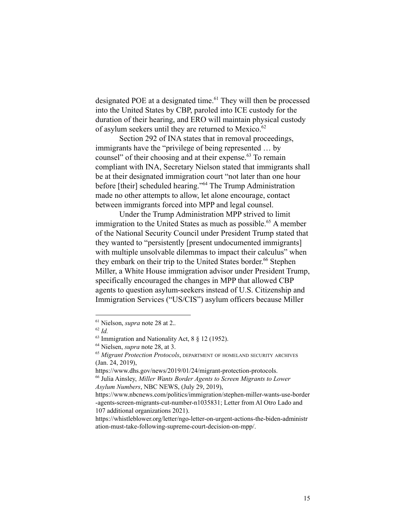designated POE at a designated time. $^{61}$  They will then be processed into the United States by CBP, paroled into ICE custody for the duration of their hearing, and ERO will maintain physical custody of asylum seekers until they are returned to Mexico.<sup>62</sup>

Section 292 of INA states that in removal proceedings, immigrants have the "privilege of being represented … by counsel" of their choosing and at their expense.<sup>63</sup> To remain compliant with INA, Secretary Nielson stated that immigrants shall be at their designated immigration court "not later than one hour before [their] scheduled hearing."<sup>64</sup> The Trump Administration made no other attempts to allow, let alone encourage, contact between immigrants forced into MPP and legal counsel.

Under the Trump Administration MPP strived to limit immigration to the United States as much as possible.<sup> $65$ </sup> A member of the National Security Council under President Trump stated that they wanted to "persistently [present undocumented immigrants] with multiple unsolvable dilemmas to impact their calculus" when they embark on their trip to the United States border.<sup>66</sup> Stephen Miller, a White House immigration advisor under President Trump, specifically encouraged the changes in MPP that allowed CBP agents to question asylum-seekers instead of U.S. Citizenship and Immigration Services ("US/CIS") asylum officers because Miller

<sup>61</sup> Nielson, *supra* note 28 at 2.*.*

<sup>62</sup> *Id.*

 $63$  Immigration and Nationality Act,  $8 \nvert 8 \nvert 12$  (1952).

<sup>64</sup> Nielsen, *supra* note 28, at 3.

<sup>65</sup> *Migrant Protection Protocols*, DEPARTMENT OF HOMELAND SECURITY ARCHIVES (Jan. 24, 2019),

https://www.dhs.gov/news/2019/01/24/migrant-protection-protocols.

<sup>66</sup> Julia Ainsley, *Miller Wants Border Agents to Screen Migrants to Lower Asylum Numbers*, NBC NEWS, (July 29, 2019),

https://www.nbcnews.com/politics/immigration/stephen-miller-wants-use-border -agents-screen-migrants-cut-number-n1035831; Letter from Al Otro Lado and 107 additional organizations 2021).

https://whistleblower.org/letter/ngo-letter-on-urgent-actions-the-biden-administr ation-must-take-following-supreme-court-decision-on-mpp/.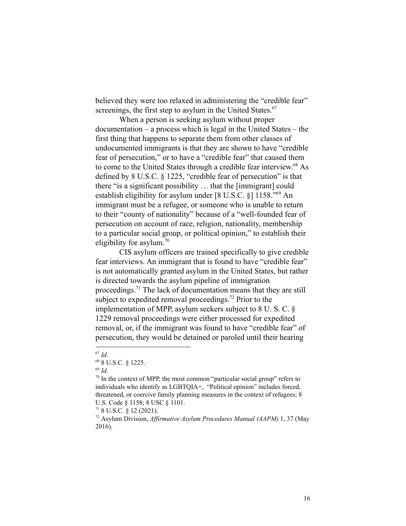believed they were too relaxed in administering the "credible fear" screenings, the first step to asylum in the United States. $67$ 

When a person is seeking asylum without proper documentation – a process which is legal in the United States – the first thing that happens to separate them from other classes of undocumented immigrants is that they are shown to have "credible fear of persecution," or to have a "credible fear" that caused them to come to the United States through a credible fear interview.<sup>68</sup> As defined by 8 U.S.C. § 1225, "credible fear of persecution" is that there "is a significant possibility … that the [immigrant] could establish eligibility for asylum under  $[8 \text{ U.S.C. } 8]$  1158."<sup>69</sup> An immigrant must be a refugee, or someone who is unable to return to their "county of nationality" because of a "well-founded fear of persecution on account of race, religion, nationality, membership to a particular social group, or political opinion," to establish their eligibility for asylum.<sup>70</sup>

CIS asylum officers are trained specifically to give credible fear interviews. An immigrant that is found to have "credible fear" is not automatically granted asylum in the United States, but rather is directed towards the asylum pipeline of immigration proceedings.<sup> $71$ </sup> The lack of documentation means that they are still subject to expedited removal proceedings.<sup>72</sup> Prior to the implementation of MPP, asylum seekers subject to 8 U. S. C. § 1229 removal proceedings were either processed for expedited removal, or, if the immigrant was found to have "credible fear" of persecution, they would be detained or paroled until their hearing

<sup>67</sup> *Id*.

<sup>68</sup> 8 U.S.C. § 1225.

<sup>69</sup> *Id.*

 $70$  In the context of MPP, the most common "particular social group" refers to individuals who identify as LGBTQIA+, "Political opinion" includes forced, threatened, or coercive family planning measures in the context of refugees; 8 U.S. Code § 1158; 8 USC § 1101.

 $718$  U.S.C. § 12 (2021).

<sup>72</sup> Asylum Division, *Af irmative Asylum Procedures Manual (AAPM)* 1, 37 (May 2016).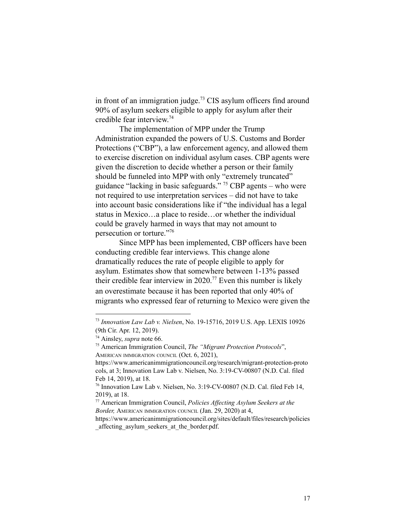in front of an immigration judge.<sup>73</sup> CIS asylum officers find around 90% of asylum seekers eligible to apply for asylum after their credible fear interview. 74

The implementation of MPP under the Trump Administration expanded the powers of U.S. Customs and Border Protections ("CBP"), a law enforcement agency, and allowed them to exercise discretion on individual asylum cases. CBP agents were given the discretion to decide whether a person or their family should be funneled into MPP with only "extremely truncated" guidance "lacking in basic safeguards." <sup>75</sup> CBP agents – who were not required to use interpretation services – did not have to take into account basic considerations like if "the individual has a legal status in Mexico…a place to reside…or whether the individual could be gravely harmed in ways that may not amount to persecution or torture."<sup>76</sup>

Since MPP has been implemented, CBP officers have been conducting credible fear interviews. This change alone dramatically reduces the rate of people eligible to apply for asylum. Estimates show that somewhere between 1-13% passed their credible fear interview in 2020.<sup>77</sup> Even this number is likely an overestimate because it has been reported that only 40% of migrants who expressed fear of returning to Mexico were given the

<sup>73</sup> *Innovation Law Lab v. Nielsen*, No. 19-15716, 2019 U.S. App. LEXIS 10926 (9th Cir. Apr. 12, 2019).

<sup>74</sup> Ainsley, *supra* note 66.

<sup>75</sup> American Immigration Council, *The "Migrant Protection Protocols*", AMERICAN IMMIGRATION COUNCIL (Oct. 6, 2021),

https://www.americanimmigrationcouncil.org/research/migrant-protection-proto cols, at 3; Innovation Law Lab v. Nielsen, No. 3:19-CV-00807 (N.D. Cal. filed Feb 14, 2019), at 18.

<sup>76</sup> Innovation Law Lab v. Nielsen, No. 3:19-CV-00807 (N.D. Cal. filed Feb 14, 2019), at 18.

<sup>77</sup> American Immigration Council, *Policies Af ecting Asylum Seekers at the Border,* AMERICAN IMMIGRATION COUNCIL (Jan. 29, 2020) at 4,

https://www.americanimmigrationcouncil.org/sites/default/files/research/policies affecting asylum seekers at the border.pdf.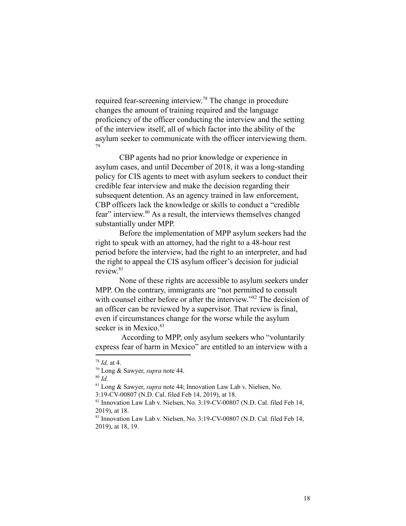required fear-screening interview.<sup>78</sup> The change in procedure changes the amount of training required and the language proficiency of the officer conducting the interview and the setting of the interview itself, all of which factor into the ability of the asylum seeker to communicate with the officer interviewing them. 79

CBP agents had no prior knowledge or experience in asylum cases, and until December of 2018, it was a long-standing policy for CIS agents to meet with asylum seekers to conduct their credible fear interview and make the decision regarding their subsequent detention. As an agency trained in law enforcement, CBP officers lack the knowledge or skills to conduct a "credible fear" interview.  $80$  As a result, the interviews themselves changed substantially under MPP.

Before the implementation of MPP asylum seekers had the right to speak with an attorney, had the right to a 48-hour rest period before the interview, had the right to an interpreter, and had the right to appeal the CIS asylum officer's decision for judicial review. 81

None of these rights are accessible to asylum seekers under MPP. On the contrary, immigrants are "not permitted to consult" with counsel either before or after the interview." $82$  The decision of an officer can be reviewed by a supervisor. That review is final, even if circumstances change for the worse while the asylum seeker is in Mexico. $83$ 

According to MPP, only asylum seekers who "voluntarily express fear of harm in Mexico" are entitled to an interview with a

<sup>78</sup> *Id,* at 4.

<sup>79</sup> Long & Sawyer, *supra* note 44.

<sup>80</sup> *Id.*

<sup>81</sup> Long & Sawyer, *supra* note 44; Innovation Law Lab v. Nielsen, No.

<sup>3:19-</sup>CV-00807 (N.D. Cal. filed Feb 14, 2019), at 18.

 $82$  Innovation Law Lab v. Nielsen, No. 3:19-CV-00807 (N.D. Cal. filed Feb 14, 2019) at 18.

<sup>&</sup>lt;sup>83</sup> Innovation Law Lab v. Nielsen, No. 3:19-CV-00807 (N.D. Cal. filed Feb 14, 2019), at 18, 19.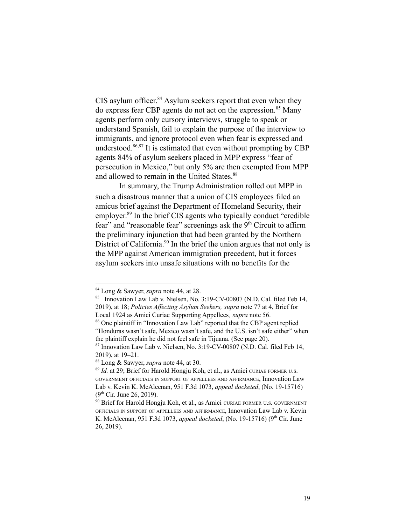$CIS$  asylum officer.<sup>84</sup> Asylum seekers report that even when they do express fear CBP agents do not act on the expression.<sup>85</sup> Many agents perform only cursory interviews, struggle to speak or understand Spanish, fail to explain the purpose of the interview to immigrants, and ignore protocol even when fear is expressed and understood.  $86,87$  It is estimated that even without prompting by CBP agents 84% of asylum seekers placed in MPP express "fear of persecution in Mexico," but only 5% are then exempted from MPP and allowed to remain in the United States.<sup>88</sup>

In summary, the Trump Administration rolled out MPP in such a disastrous manner that a union of CIS employees filed an amicus brief against the Department of Homeland Security, their employer.<sup>89</sup> In the brief CIS agents who typically conduct "credible" fear" and "reasonable fear" screenings ask the  $9<sup>th</sup>$  Circuit to affirm the preliminary injunction that had been granted by the Northern District of California.<sup>90</sup> In the brief the union argues that not only is the MPP against American immigration precedent, but it forces asylum seekers into unsafe situations with no benefits for the

<sup>84</sup> Long & Sawyer, *supra* note 44, at 28.

<sup>&</sup>lt;sup>85</sup> Innovation Law Lab v. Nielsen, No. 3:19-CV-00807 (N.D. Cal. filed Feb 14, 2019), at 18; *Policies Af ecting Asylum Seekers, supra* note 77 at 4, Brief for Local 1924 as Amici Curiae Supporting Appellees*, supra* note 56.

<sup>86</sup> One plaintiff in "Innovation Law Lab" reported that the CBP agent replied "Honduras wasn't safe, Mexico wasn't safe, and the U.S. isn't safe either" when the plaintiff explain he did not feel safe in Tijuana. (See page 20).

 $87$  Innovation Law Lab v. Nielsen, No. 3:19-CV-00807 (N.D. Cal. filed Feb 14, 2019), at 19–21.

<sup>88</sup> Long & Sawyer, *supra* note 44, at 30.

<sup>89</sup> *Id.* at 29; Brief for Harold Hongju Koh, et al., as Amici CURIAE FORMER <sup>U</sup>.S. GOVERNMENT OFFICIALS IN SUPPORT OF APPELLEES AND AFFIRMANCE, Innovation Law Lab v. Kevin K. McAleenan, 951 F.3d 1073, *appeal docketed*, (No. 19-15716)  $(9<sup>th</sup> Cir. June 26, 2019).$ 

<sup>&</sup>lt;sup>90</sup> Brief for Harold Hongju Koh, et al., as Amici CURIAE FORMER U.S. GOVERNMENT OFFICIALS IN SUPPORT OF APPELLEES AND AFFIRMANCE, Innovation Law Lab v. Kevin K. McAleenan, 951 F.3d 1073, *appeal docketed*, (No. 19-15716) (9<sup>th</sup> Cir. June 26, 2019).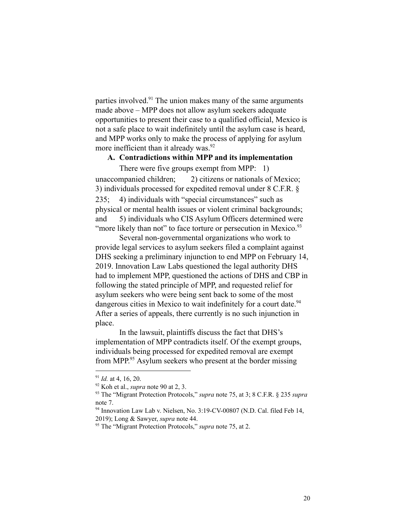parties involved.<sup>91</sup> The union makes many of the same arguments made above – MPP does not allow asylum seekers adequate opportunities to present their case to a qualified official, Mexico is not a safe place to wait indefinitely until the asylum case is heard, and MPP works only to make the process of applying for asylum more inefficient than it already was.<sup>92</sup>

# **A. Contradictions within MPP and its implementation**

There were five groups exempt from MPP: 1) unaccompanied children; 2) citizens or nationals of Mexico; 3) individuals processed for expedited removal under 8 C.F.R. § 235; 4) individuals with "special circumstances" such as physical or mental health issues or violent criminal backgrounds; and 5) individuals who CIS Asylum Officers determined were "more likely than not" to face torture or persecution in Mexico.<sup>93</sup>

Several non-governmental organizations who work to provide legal services to asylum seekers filed a complaint against DHS seeking a preliminary injunction to end MPP on February 14, 2019. Innovation Law Labs questioned the legal authority DHS had to implement MPP, questioned the actions of DHS and CBP in following the stated principle of MPP, and requested relief for asylum seekers who were being sent back to some of the most dangerous cities in Mexico to wait indefinitely for a court date.<sup>94</sup> After a series of appeals, there currently is no such injunction in place.

In the lawsuit, plaintiffs discuss the fact that DHS's implementation of MPP contradicts itself. Of the exempt groups, individuals being processed for expedited removal are exempt from MPP. $^{95}$  Asylum seekers who present at the border missing

<sup>91</sup> *Id.* at 4, 16, 20.

<sup>92</sup> Koh et al., *supra* note 90 at 2, 3.

<sup>93</sup> The "Migrant Protection Protocols," *supra* note 75, at 3; 8 C.F.R. § 235 *supra* note 7.

<sup>&</sup>lt;sup>94</sup> Innovation Law Lab v. Nielsen, No. 3:19-CV-00807 (N.D. Cal. filed Feb 14, 2019); Long & Sawyer, *supra* note 44.

<sup>95</sup> The "Migrant Protection Protocols," *supra* note 75, at 2.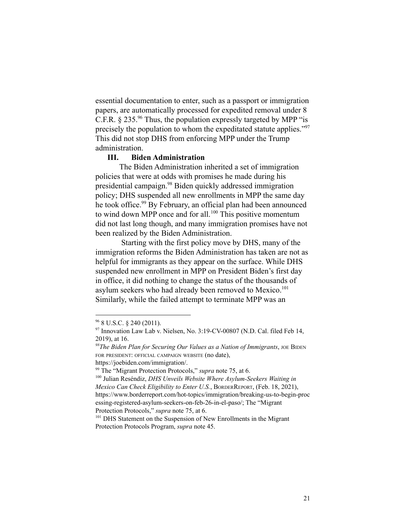essential documentation to enter, such as a passport or immigration papers, are automatically processed for expedited removal under 8 C.F.R.  $\S 235.^{96}$  Thus, the population expressly targeted by MPP "is precisely the population to whom the expeditated statute applies."<sup>97</sup> This did not stop DHS from enforcing MPP under the Trump administration.

# **III. Biden Administration**

The Biden Administration inherited a set of immigration policies that were at odds with promises he made during his presidential campaign.<sup>98</sup> Biden quickly addressed immigration policy; DHS suspended all new enrollments in MPP the same day he took office.<sup>99</sup> By February, an official plan had been announced to wind down MPP once and for all.<sup>100</sup> This positive momentum did not last long though, and many immigration promises have not been realized by the Biden Administration.

Starting with the first policy move by DHS, many of the immigration reforms the Biden Administration has taken are not as helpful for immigrants as they appear on the surface. While DHS suspended new enrollment in MPP on President Biden's first day in office, it did nothing to change the status of the thousands of asylum seekers who had already been removed to Mexico.<sup>101</sup> Similarly, while the failed attempt to terminate MPP was an

 $96$  8 U.S.C. § 240 (2011).

 $97$  Innovation Law Lab v. Nielsen, No. 3:19-CV-00807 (N.D. Cal. filed Feb 14, 2019), at 16.

*<sup>98</sup>The Biden Plan for Securing Our Values as a Nation of Immigrants*, JOE BIDEN FOR PRESIDENT: OFFICIAL CAMPAIGN WEBSITE (no date),

https://joebiden.com/immigration/.

<sup>99</sup> The "Migrant Protection Protocols," *supra* note 75, at 6.

<sup>100</sup> Julian Reséndiz, *DHS Unveils Website Where Asylum-Seekers Waiting in Mexico Can Check Eligibility to Enter U.S.*, BORDERREPORT, (Feb. 18, 2021), https://www.borderreport.com/hot-topics/immigration/breaking-us-to-begin-proc essing-registered-asylum-seekers-on-feb-26-in-el-paso/; The "Migrant Protection Protocols," *supra* note 75, at 6.

<sup>&</sup>lt;sup>101</sup> DHS Statement on the Suspension of New Enrollments in the Migrant Protection Protocols Program, *supra* note 45.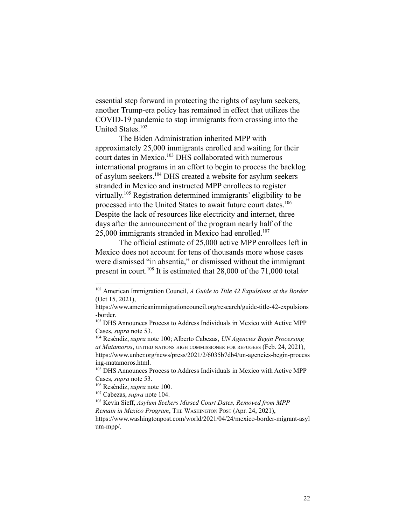essential step forward in protecting the rights of asylum seekers, another Trump-era policy has remained in effect that utilizes the COVID-19 pandemic to stop immigrants from crossing into the United States.<sup>102</sup>

The Biden Administration inherited MPP with approximately 25,000 immigrants enrolled and waiting for their court dates in Mexico.<sup>103</sup> DHS collaborated with numerous international programs in an effort to begin to process the backlog of asylum seekers.<sup>104</sup> DHS created a website for asylum seekers stranded in Mexico and instructed MPP enrollees to register virtually.<sup> $105$ </sup> Registration determined immigrants' eligibility to be processed into the United States to await future court dates.<sup>106</sup> Despite the lack of resources like electricity and internet, three days after the announcement of the program nearly half of the  $25,000$  immigrants stranded in Mexico had enrolled.<sup>107</sup>

The official estimate of 25,000 active MPP enrollees left in Mexico does not account for tens of thousands more whose cases were dismissed "in absentia," or dismissed without the immigrant present in court.<sup>108</sup> It is estimated that  $28,000$  of the  $71,000$  total

<sup>102</sup> American Immigration Council, *A Guide to Title 42 Expulsions at the Border* (Oct 15, 2021),

https://www.americanimmigrationcouncil.org/research/guide-title-42-expulsions -border.

<sup>&</sup>lt;sup>103</sup> DHS Announces Process to Address Individuals in Mexico with Active MPP Cases, *supra* note 53.

<sup>104</sup> Reséndiz, *supra* note 100; Alberto Cabezas, *UN Agencies Begin Processing at Matamoros*, UNITED NATIONS HIGH COMMISSIONER FOR REFUGEES (Feb. 24, 2021), https://www.unhcr.org/news/press/2021/2/6035b7db4/un-agencies-begin-process ing-matamoros.html.

<sup>105</sup> DHS Announces Process to Address Individuals in Mexico with Active MPP Cases*, supra* note 53.

<sup>106</sup> Reséndiz, *supra* note 100.

<sup>107</sup> Cabezas, *supra* note 104.

<sup>108</sup> Kevin Sieff, *Asylum Seekers Missed Court Dates, Removed from MPP Remain in Mexico Program*, THE WASHINGTON POST (Apr. 24, 2021), https://www.washingtonpost.com/world/2021/04/24/mexico-border-migrant-asyl um-mpp/.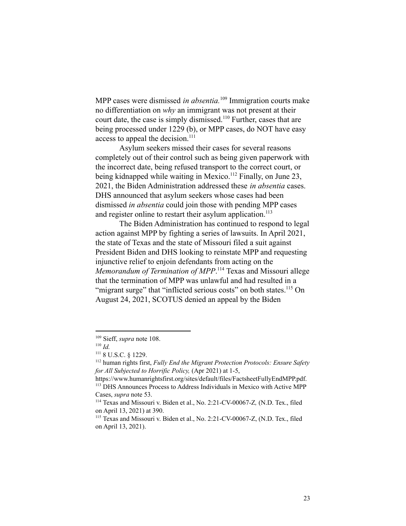MPP cases were dismissed *in absentia*.<sup>109</sup> Immigration courts make no differentiation on *why* an immigrant was not present at their court date, the case is simply dismissed.<sup>110</sup> Further, cases that are being processed under 1229 (b), or MPP cases, do NOT have easy access to appeal the decision.<sup>111</sup>

Asylum seekers missed their cases for several reasons completely out of their control such as being given paperwork with the incorrect date, being refused transport to the correct court, or being kidnapped while waiting in Mexico.<sup>112</sup> Finally, on June 23, 2021, the Biden Administration addressed these *in absentia* cases. DHS announced that asylum seekers whose cases had been dismissed *in absentia* could join those with pending MPP cases and register online to restart their asylum application.<sup>113</sup>

The Biden Administration has continued to respond to legal action against MPP by fighting a series of lawsuits. In April 2021, the state of Texas and the state of Missouri filed a suit against President Biden and DHS looking to reinstate MPP and requesting injunctive relief to enjoin defendants from acting on the *Memorandum of Termination of MPP*.<sup>114</sup> Texas and Missouri allege that the termination of MPP was unlawful and had resulted in a "migrant surge" that "inflicted serious costs" on both states.<sup>115</sup> On August 24, 2021, SCOTUS denied an appeal by the Biden

<sup>109</sup> Sieff, *supra* note 108.

<sup>110</sup> *Id.*

<sup>111</sup> 8 U.S.C. § 1229.

<sup>112</sup> human rights first, *Fully End the Migrant Protection Protocols: Ensure Safety for All Subjected to Horrific Policy,* (Apr 2021) at 1-5,

<sup>113</sup> DHS Announces Process to Address Individuals in Mexico with Active MPP Cases, *supra* note 53. https://www.humanrightsfirst.org/sites/default/files/FactsheetFullyEndMPP.pdf.

<sup>114</sup> Texas and Missouri v. Biden et al., No. 2:21-CV-00067-Z*,* (N.D. Tex., filed on April 13, 2021) at 390.

<sup>115</sup> Texas and Missouri v. Biden et al., No. 2:21-CV-00067-Z, (N.D. Tex., filed on April 13, 2021).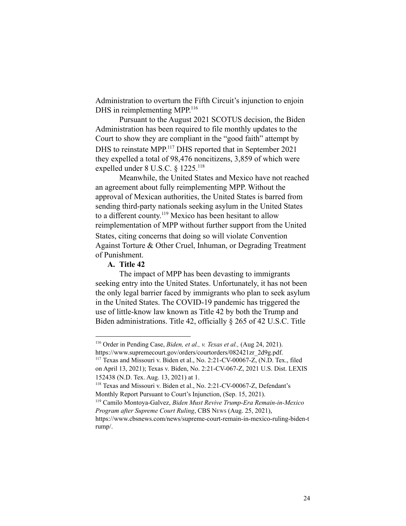Administration to overturn the Fifth Circuit's injunction to enjoin DHS in reimplementing MPP.<sup>116</sup>

Pursuant to the August 2021 SCOTUS decision, the Biden Administration has been required to file monthly updates to the Court to show they are compliant in the "good faith" attempt by DHS to reinstate MPP.<sup>117</sup> DHS reported that in September 2021 they expelled a total of 98,476 noncitizens, 3,859 of which were expelled under 8 U.S.C. § 1225.<sup>118</sup>

Meanwhile, the United States and Mexico have not reached an agreement about fully reimplementing MPP. Without the approval of Mexican authorities, the United States is barred from sending third-party nationals seeking asylum in the United States to a different county.<sup>119</sup> Mexico has been hesitant to allow reimplementation of MPP without further support from the United States, citing concerns that doing so will violate Convention Against Torture & Other Cruel, Inhuman, or Degrading Treatment of Punishment.

# **A. Title 42**

The impact of MPP has been devasting to immigrants seeking entry into the United States. Unfortunately, it has not been the only legal barrier faced by immigrants who plan to seek asylum in the United States. The COVID-19 pandemic has triggered the use of little-know law known as Title 42 by both the Trump and Biden administrations. Title 42, officially § 265 of 42 U.S.C. Title

<sup>116</sup> Order in Pending Case, *Biden, et al., v. Texas et al.,* (Aug 24, 2021). https://www.supremecourt.gov/orders/courtorders/082421zr\_2d9g.pdf.

<sup>117</sup> Texas and Missouri v. Biden et al., No. 2:21-CV-00067-Z, (N.D. Tex., filed on April 13, 2021); Texas v. Biden, No. 2:21-CV-067-Z, 2021 U.S. Dist. LEXIS 152438 (N.D. Tex. Aug. 13, 2021) at 1.

<sup>118</sup> Texas and Missouri v. Biden et al., No. 2:21-CV-00067-Z, Defendant's Monthly Report Pursuant to Court's Injunction, (Sep. 15, 2021).

<sup>119</sup> Camilo Montoya-Galvez, *Biden Must Revive Trump-Era Remain-in-Mexico Program after Supreme Court Ruling*, CBS NEWS (Aug. 25, 2021),

https://www.cbsnews.com/news/supreme-court-remain-in-mexico-ruling-biden-t rump/.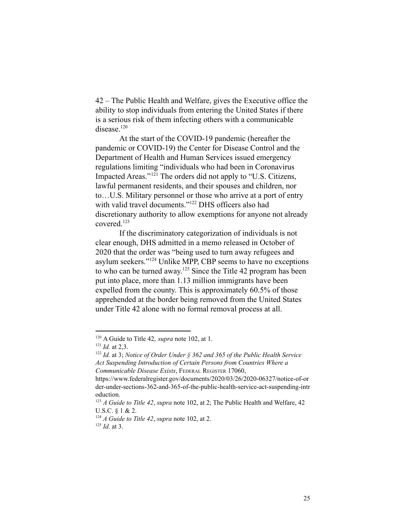42 – The Public Health and Welfare, gives the Executive office the ability to stop individuals from entering the United States if there is a serious risk of them infecting others with a communicable disease.<sup>120</sup>

At the start of the COVID-19 pandemic (hereafter the pandemic or COVID-19) the Center for Disease Control and the Department of Health and Human Services issued emergency regulations limiting "individuals who had been in Coronavirus Impacted Areas." $121$  The orders did not apply to "U.S. Citizens, lawful permanent residents, and their spouses and children, nor to…U.S. Military personnel or those who arrive at a port of entry with valid travel documents." $122$  DHS officers also had discretionary authority to allow exemptions for anyone not already covered.<sup>123</sup>

If the discriminatory categorization of individuals is not clear enough, DHS admitted in a memo released in October of 2020 that the order was "being used to turn away refugees and asylum seekers."<sup>124</sup> Unlike MPP, CBP seems to have no exceptions to who can be turned away.<sup>125</sup> Since the Title 42 program has been put into place, more than 1.13 million immigrants have been expelled from the county. This is approximately 60.5% of those apprehended at the border being removed from the United States under Title 42 alone with no formal removal process at all.

<sup>120</sup> A Guide to Title 42, *supra* note 102, at 1.

 $121$  *Id.* at 2.3.

<sup>122</sup> *Id.* at 3; *Notice of Order Under § 362 and 365 of the Public Health Service Act Suspending Introduction of Certain Persons from Countries Where a Communicable Disease Exists*, FEDERAL REGISTER 17060,

https://www.federalregister.gov/documents/2020/03/26/2020-06327/notice-of-or der-under-sections-362-and-365-of-the-public-health-service-act-suspending-intr oduction.

<sup>123</sup> *A Guide to Title 42*, *supra* note 102, at 2; The Public Health and Welfare, 42 U.S.C. § 1 & 2.

<sup>125</sup> *Id.* at 3.  $124$  *A Guide to Title* 42, *supra* note 102, at 2.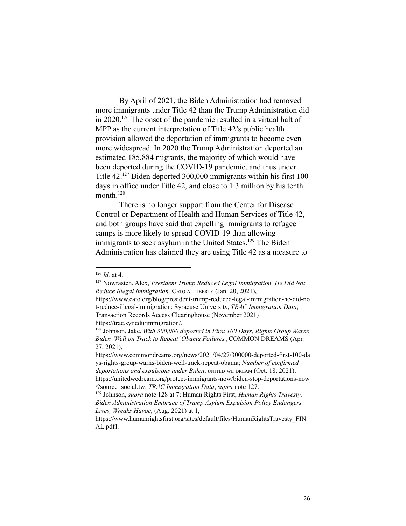By April of 2021, the Biden Administration had removed more immigrants under Title 42 than the Trump Administration did in 2020.<sup>126</sup> The onset of the pandemic resulted in a virtual halt of MPP as the current interpretation of Title 42's public health provision allowed the deportation of immigrants to become even more widespread. In 2020 the Trump Administration deported an estimated 185,884 migrants, the majority of which would have been deported during the COVID-19 pandemic, and thus under Title  $42^{127}$  Biden deported 300,000 immigrants within his first 100 days in office under Title 42, and close to 1.3 million by his tenth month $128$ 

There is no longer support from the Center for Disease Control or Department of Health and Human Services of Title 42, and both groups have said that expelling immigrants to refugee camps is more likely to spread COVID-19 than allowing immigrants to seek asylum in the United States.<sup>129</sup> The Biden Administration has claimed they are using Title 42 as a measure to

 $126$  *Id.* at 4.

<sup>127</sup> Nowrasteh, Alex, *President Trump Reduced Legal Immigration. He Did Not Reduce Illegal Immigration,* CATO AT LIBERTY (Jan. 20, 2021),

https://www.cato.org/blog/president-trump-reduced-legal-immigration-he-did-no t-reduce-illegal-immigration; Syracuse University, *TRAC Immigration Data*, Transaction Records Access Clearinghouse (November 2021) https://trac.syr.edu/immigration/.

<sup>128</sup> Johnson, Jake, *With 300,000 deported in First 100 Days, Rights Group Warns Biden 'Well on Track to Repeat'Obama Failures*, COMMON DREAMS (Apr. 27, 2021),

https://www.commondreams.org/news/2021/04/27/300000-deported-first-100-da ys-rights-group-warns-biden-well-track-repeat-obama; *Number of confirmed deportations and expulsions under Biden*, UNITED WE DREAM (Oct. 18, 2021), https://unitedwedream.org/protect-immigrants-now/biden-stop-deportations-now /?source=social.tw; *TRAC Immigration Data*, *supra* note 127.

<sup>129</sup> Johnson, *supra* note 128 at 7; Human Rights First, *Human Rights Travesty: Biden Administration Embrace of Trump Asylum Expulsion Policy Endangers Lives, Wreaks Havoc*, (Aug. 2021) at 1,

https://www.humanrightsfirst.org/sites/default/files/HumanRightsTravesty\_FIN AL.pdf1.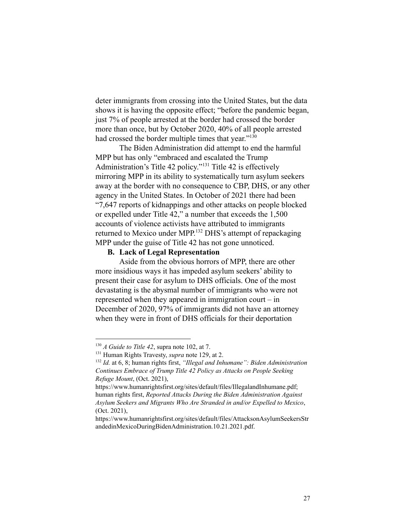deter immigrants from crossing into the United States, but the data shows it is having the opposite effect; "before the pandemic began, just 7% of people arrested at the border had crossed the border more than once, but by October 2020, 40% of all people arrested had crossed the border multiple times that year."<sup>130</sup>

The Biden Administration did attempt to end the harmful MPP but has only "embraced and escalated the Trump Administration's Title 42 policy."<sup>131</sup> Title 42 is effectively mirroring MPP in its ability to systematically turn asylum seekers away at the border with no consequence to CBP, DHS, or any other agency in the United States. In October of 2021 there had been "7,647 reports of kidnappings and other attacks on people blocked or expelled under Title 42," a number that exceeds the 1,500 accounts of violence activists have attributed to immigrants returned to Mexico under MPP.<sup>132</sup> DHS's attempt of repackaging MPP under the guise of Title 42 has not gone unnoticed.

#### **B. Lack of Legal Representation**

Aside from the obvious horrors of MPP, there are other more insidious ways it has impeded asylum seekers' ability to present their case for asylum to DHS officials. One of the most devastating is the abysmal number of immigrants who were not represented when they appeared in immigration court – in December of 2020, 97% of immigrants did not have an attorney when they were in front of DHS officials for their deportation

<sup>130</sup> *A Guide to Title 42*, supra note 102, at 7.

<sup>131</sup> Human Rights Travesty, *supra* note 129, at 2.

<sup>132</sup> *Id.* at 6, 8; human rights first, *"Illegal and Inhumane": Biden Administration Continues Embrace of Trump Title 42 Policy as Attacks on People Seeking Refuge Mount*, (Oct. 2021),

https://www.humanrightsfirst.org/sites/default/files/IllegalandInhumane.pdf; human rights first, *Reported Attacks During the Biden Administration Against Asylum Seekers and Migrants Who Are Stranded in and/or Expelled to Mexico*, (Oct. 2021),

https://www.humanrightsfirst.org/sites/default/files/AttacksonAsylumSeekersStr andedinMexicoDuringBidenAdministration.10.21.2021.pdf.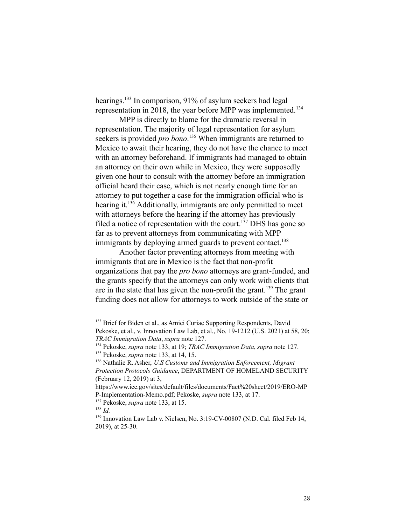hearings.  $133$  In comparison, 91% of asylum seekers had legal representation in 2018, the year before MPP was implemented.<sup>134</sup>

MPP is directly to blame for the dramatic reversal in representation. The majority of legal representation for asylum seekers is provided *pro bono*.<sup>135</sup> When immigrants are returned to Mexico to await their hearing, they do not have the chance to meet with an attorney beforehand. If immigrants had managed to obtain an attorney on their own while in Mexico, they were supposedly given one hour to consult with the attorney before an immigration official heard their case, which is not nearly enough time for an attorney to put together a case for the immigration official who is hearing it.<sup>136</sup> Additionally, immigrants are only permitted to meet with attorneys before the hearing if the attorney has previously filed a notice of representation with the court.<sup>137</sup> DHS has gone so far as to prevent attorneys from communicating with MPP immigrants by deploying armed guards to prevent contact.<sup>138</sup>

Another factor preventing attorneys from meeting with immigrants that are in Mexico is the fact that non-profit organizations that pay the *pro bono* attorneys are grant-funded, and the grants specify that the attorneys can only work with clients that are in the state that has given the non-profit the grant.<sup>139</sup> The grant funding does not allow for attorneys to work outside of the state or

<sup>&</sup>lt;sup>133</sup> Brief for Biden et al., as Amici Curiae Supporting Respondents, David Pekoske, et al., v. Innovation Law Lab, et al., No. 19-1212 (U.S. 2021) at 58, 20; *TRAC Immigration Data*, *supra* note 127.

<sup>135</sup> Pekoske, *supra* note 133, at 14, 15. <sup>134</sup> Pekoske, *supra* note 133, at 19; *TRAC Immigration Data*, *supra* note 127.

<sup>136</sup> Nathalie R. Asher, *U.S Customs and Immigration Enforcement, Migrant Protection Protocols Guidance*, DEPARTMENT OF HOMELAND SECURITY (February 12, 2019) at 3,

https://www.ice.gov/sites/default/files/documents/Fact%20sheet/2019/ERO-MP P-Implementation-Memo.pdf; Pekoske, *supra* note 133, at 17.

<sup>137</sup> Pekoske, *supra* note 133, at 15.

<sup>138</sup> *Id.*

<sup>&</sup>lt;sup>139</sup> Innovation Law Lab v. Nielsen, No. 3:19-CV-00807 (N.D. Cal. filed Feb 14, 2019), at 25-30.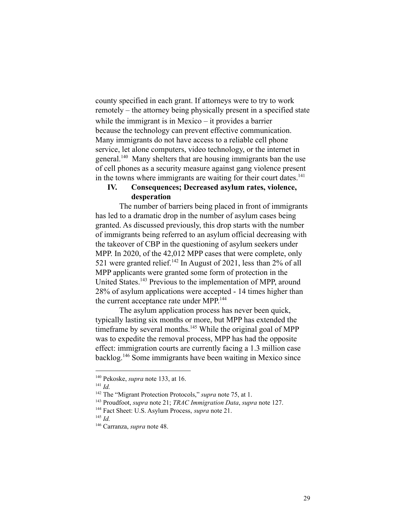county specified in each grant. If attorneys were to try to work remotely – the attorney being physically present in a specified state while the immigrant is in Mexico – it provides a barrier because the technology can prevent effective communication. Many immigrants do not have access to a reliable cell phone service, let alone computers, video technology, or the internet in general.<sup>140</sup> Many shelters that are housing immigrants ban the use of cell phones as a security measure against gang violence present in the towns where immigrants are waiting for their court dates.<sup>141</sup>

# **IV. Consequences; Decreased asylum rates, violence, desperation**

The number of barriers being placed in front of immigrants has led to a dramatic drop in the number of asylum cases being granted. As discussed previously, this drop starts with the number of immigrants being referred to an asylum official decreasing with the takeover of CBP in the questioning of asylum seekers under MPP. In 2020, of the 42,012 MPP cases that were complete, only 521 were granted relief.<sup>142</sup> In August of 2021, less than  $2\%$  of all MPP applicants were granted some form of protection in the United States.<sup>143</sup> Previous to the implementation of MPP, around 28% of asylum applications were accepted - 14 times higher than the current acceptance rate under MPP.<sup>144</sup>

The asylum application process has never been quick, typically lasting six months or more, but MPP has extended the timeframe by several months.<sup>145</sup> While the original goal of MPP was to expedite the removal process, MPP has had the opposite effect: immigration courts are currently facing a 1.3 million case  $backlog.$ <sup>146</sup> Some immigrants have been waiting in Mexico since

<sup>140</sup> Pekoske, *supra* note 133, at 16.

<sup>141</sup> *Id.*

<sup>142</sup> The "Migrant Protection Protocols," *supra* note 75, at 1.

<sup>143</sup> Proudfoot, *supra* note 21; *TRAC Immigration Data*, *supra* note 127.

<sup>144</sup> Fact Sheet: U.S. Asylum Process, *supra* note 21.

<sup>145</sup> *Id.*

<sup>146</sup> Carranza, *supra* note 48.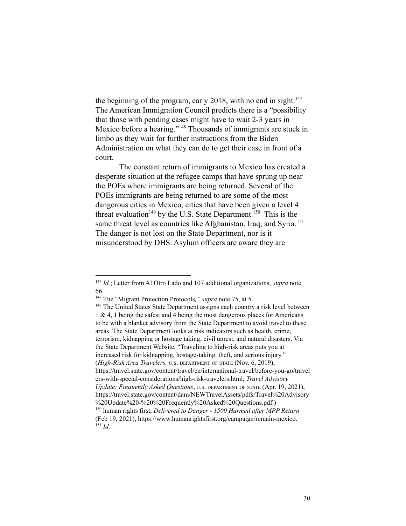the beginning of the program, early 2018, with no end in sight.<sup>147</sup> The American Immigration Council predicts there is a "possibility that those with pending cases might have to wait 2-3 years in Mexico before a hearing."<sup>148</sup> Thousands of immigrants are stuck in limbo as they wait for further instructions from the Biden Administration on what they can do to get their case in front of a court.

The constant return of immigrants to Mexico has created a desperate situation at the refugee camps that have sprung up near the POEs where immigrants are being returned. Several of the POEs immigrants are being returned to are some of the most dangerous cities in Mexico, cities that have been given a level 4 threat evaluation<sup>149</sup> by the U.S. State Department.<sup>150</sup> This is the same threat level as countries like Afghanistan, Iraq, and Syria.<sup>151</sup> The danger is not lost on the State Department, nor is it misunderstood by DHS. Asylum officers are aware they are

<sup>147</sup> *Id.*; Letter from Al Otro Lado and 107 additional organizations, *supra* note 66.

<sup>148</sup> The "Migrant Protection Protocols*," supra* note 75, at 5.

<sup>151</sup> *Id.* <sup>150</sup> human rights first, *Delivered to Danger - 1500 Harmed after MPP Return* (Feb 19, 2021), https://www.humanrightsfirst.org/campaign/remain-mexico. <sup>149</sup> The United States State Department assigns each country a risk level between 1 & 4, 1 being the safest and 4 being the most dangerous places for Americans to be with a blanket advisory from the State Department to avoid travel to these areas. The State Department looks at risk indicators such as health, crime, terrorism, kidnapping or hostage taking, civil unrest, and natural disasters. Via the State Department Website, "Traveling to high-risk areas puts you at increased risk for kidnapping, hostage-taking, theft, and serious injury." (*High-Risk Area Travelers,* <sup>U</sup>.S. DEPARTMENT OF STATE (Nov. 6, 2019), https://travel.state.gov/content/travel/en/international-travel/before-you-go/travel ers-with-special-considerations/high-risk-travelers.html; *Travel Advisory Update: Frequently Asked Questions*, <sup>U</sup>.S. DEPARTMENT OF STATE (Apr. 19, 2021), https://travel.state.gov/content/dam/NEWTravelAssets/pdfs/Travel%20Advisory %20Update%20-%20%20Frequently%20Asked%20Questions.pdf.)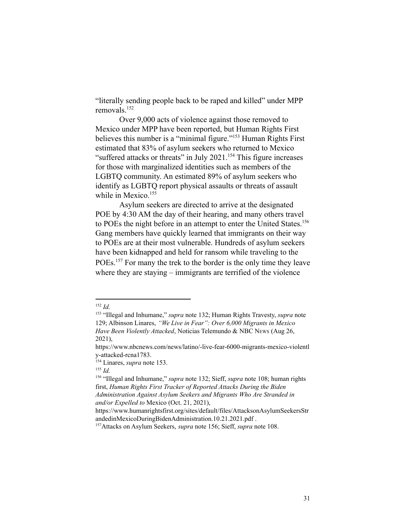"literally sending people back to be raped and killed" under MPP removals.<sup>152</sup>

Over 9,000 acts of violence against those removed to Mexico under MPP have been reported, but Human Rights First believes this number is a "minimal figure."<sup>153</sup> Human Rights First estimated that 83% of asylum seekers who returned to Mexico "suffered attacks or threats" in July 2021.<sup>154</sup> This figure increases for those with marginalized identities such as members of the LGBTQ community. An estimated 89% of asylum seekers who identify as LGBTQ report physical assaults or threats of assault while in Mexico.<sup>155</sup>

Asylum seekers are directed to arrive at the designated POE by 4:30 AM the day of their hearing, and many others travel to POEs the night before in an attempt to enter the United States.<sup>156</sup> Gang members have quickly learned that immigrants on their way to POEs are at their most vulnerable. Hundreds of asylum seekers have been kidnapped and held for ransom while traveling to the POEs.<sup>157</sup> For many the trek to the border is the only time they leave where they are staying – immigrants are terrified of the violence

<sup>152</sup> *Id.*

<sup>153</sup> "Illegal and Inhumane," *supra* note 132; Human Rights Travesty, *supra* note 129; Albinson Linares, *"We Live in Fear": Over 6,000 Migrants in Mexico Have Been Violently Attacked*, Noticias Telemundo & NBC NEWS (Aug 26, 2021),

https://www.nbcnews.com/news/latino/-live-fear-6000-migrants-mexico-violentl y-attacked-rcna1783.

<sup>154</sup> Linares, *supra* note 153.

<sup>155</sup> *Id.*

<sup>156</sup> "Illegal and Inhumane," *supra* note 132; Sieff, *supra* note 108; human rights first, *Human Rights First Tracker of Reported Attacks During the Biden Administration Against Asylum Seekers and Migrants Who Are Stranded in and/or Expelled to* Mexico (Oct. 21, 2021),

https://www.humanrightsfirst.org/sites/default/files/AttacksonAsylumSeekersStr andedinMexicoDuringBidenAdministration.10.21.2021.pdf .

<sup>157</sup>Attacks on Asylum Seekers, *supra* note 156; Sieff, *supra* note 108.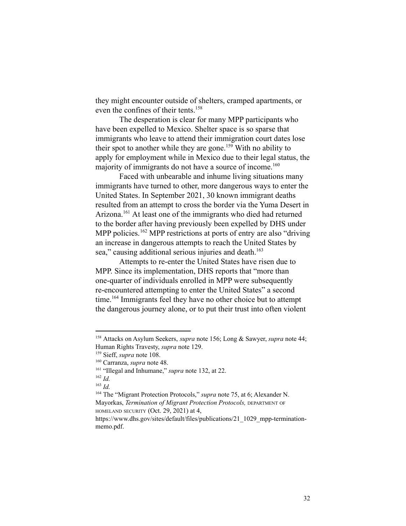they might encounter outside of shelters, cramped apartments, or even the confines of their tents.<sup>158</sup>

The desperation is clear for many MPP participants who have been expelled to Mexico. Shelter space is so sparse that immigrants who leave to attend their immigration court dates lose their spot to another while they are gone.<sup>159</sup> With no ability to apply for employment while in Mexico due to their legal status, the majority of immigrants do not have a source of income.<sup>160</sup>

Faced with unbearable and inhume living situations many immigrants have turned to other, more dangerous ways to enter the United States. In September 2021, 30 known immigrant deaths resulted from an attempt to cross the border via the Yuma Desert in Arizona.<sup>161</sup> At least one of the immigrants who died had returned to the border after having previously been expelled by DHS under MPP policies.  $^{162}$  MPP restrictions at ports of entry are also "driving an increase in dangerous attempts to reach the United States by sea," causing additional serious injuries and death.<sup>163</sup>

Attempts to re-enter the United States have risen due to MPP. Since its implementation, DHS reports that "more than one-quarter of individuals enrolled in MPP were subsequently re-encountered attempting to enter the United States" a second  $time<sup>164</sup>$  Immigrants feel they have no other choice but to attempt the dangerous journey alone, or to put their trust into often violent

<sup>158</sup> Attacks on Asylum Seekers, *supra* note 156; Long & Sawyer, *supra* note 44; Human Rights Travesty, *supra* note 129.

<sup>159</sup> Sieff, *supra* note 108.

<sup>160</sup> Carranza, *supra* note 48.

<sup>161</sup> "Illegal and Inhumane," *supra* note 132, at 22.

<sup>162</sup> *Id.*

<sup>163</sup> *Id.*

<sup>164</sup> The "Migrant Protection Protocols," *supra* note 75, at 6; Alexander N. Mayorkas, *Termination of Migrant Protection Protocols,* DEPARTMENT OF HOMELAND SECURITY (Oct. 29, 2021) at 4,

https://www.dhs.gov/sites/default/files/publications/21\_1029\_mpp-terminationmemo.pdf.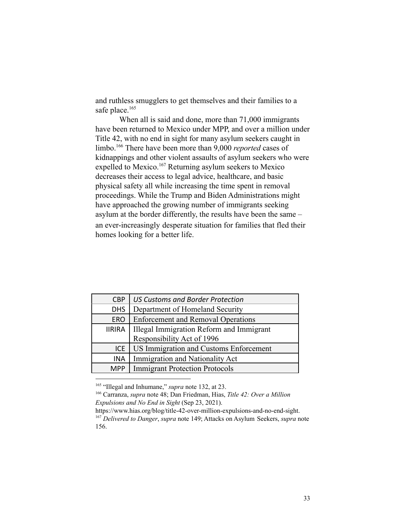and ruthless smugglers to get themselves and their families to a safe place.<sup>165</sup>

When all is said and done, more than 71,000 immigrants have been returned to Mexico under MPP, and over a million under Title 42, with no end in sight for many asylum seekers caught in limbo.<sup>166</sup> There have been more than 9,000 *reported* cases of kidnappings and other violent assaults of asylum seekers who were expelled to Mexico.<sup>167</sup> Returning asylum seekers to Mexico decreases their access to legal advice, healthcare, and basic physical safety all while increasing the time spent in removal proceedings. While the Trump and Biden Administrations might have approached the growing number of immigrants seeking asylum at the border differently, the results have been the same – an ever-increasingly desperate situation for families that fled their homes looking for a better life.

| <b>CBP</b>    | <b>US Customs and Border Protection</b>   |
|---------------|-------------------------------------------|
| <b>DHS</b>    | Department of Homeland Security           |
| <b>ERO</b>    | <b>Enforcement and Removal Operations</b> |
| <b>IIRIRA</b> | Illegal Immigration Reform and Immigrant  |
|               | Responsibility Act of 1996                |
| ICE.          | US Immigration and Customs Enforcement    |
| <b>INA</b>    |                                           |
| MPP           | <b>Immigrant Protection Protocols</b>     |
|               | Immigration and Nationality Act           |

<sup>165</sup> "Illegal and Inhumane," *supra* note 132, at 23.

<sup>166</sup> Carranza, *supra* note 48; Dan Friedman, Hias, *Title 42: Over a Million Expulsions and No End in Sight* (Sep 23, 2021).

<sup>167</sup> *Delivered to Danger*, *supra* note 149; Attacks on Asylum Seekers, *supra* note 156. https://www.hias.org/blog/title-42-over-million-expulsions-and-no-end-sight.